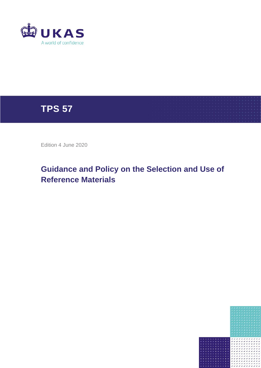



Edition 4 June 2020

# **Guidance and Policy on the Selection and Use of Reference Materials**

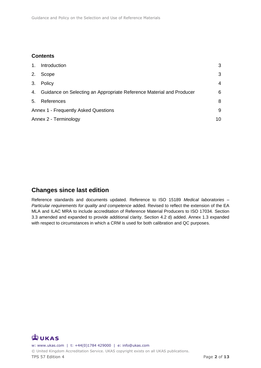### **Contents**

| 1.                                   | Introduction                                                            | 3  |
|--------------------------------------|-------------------------------------------------------------------------|----|
| 2.                                   | Scope                                                                   | 3  |
| 3.                                   | Policy                                                                  | 4  |
|                                      | 4. Guidance on Selecting an Appropriate Reference Material and Producer | 6  |
| 5.                                   | References                                                              | 8  |
| Annex 1 - Frequently Asked Questions |                                                                         | 9  |
| Annex 2 - Terminology                |                                                                         | 10 |

### **Changes since last edition**

Reference standards and documents updated. Reference to ISO 15189 *Medical laboratories – Particular requirements for quality and competence* added. Revised to reflect the extension of the EA MLA and ILAC MRA to include accreditation of Reference Material Producers to ISO 17034. Section 3.3 amended and expanded to provide additional clarity. Section 4.2 d) added. Annex 1.3 expanded with respect to circumstances in which a CRM is used for both calibration and QC purposes.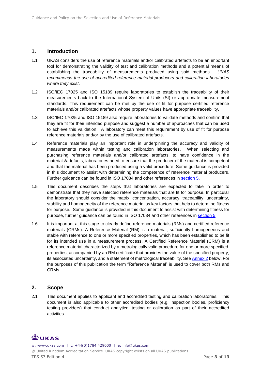#### <span id="page-2-0"></span>**1. Introduction**

- 1.1 UKAS considers the use of reference materials and/or calibrated artefacts to be an important tool for demonstrating the validity of test and calibration methods and a potential means of establishing the traceability of measurements produced using said methods. *UKAS recommends the use of accredited reference material producers and calibration laboratories where they exist*.
- 1.2 ISO/IEC 17025 and ISO 15189 require laboratories to establish the traceability of their measurements back to the International System of Units (SI) or appropriate measurement standards. This requirement can be met by the use of fit for purpose certified reference materials and/or calibrated artefacts whose property values have appropriate traceability.
- 1.3 ISO/IEC 17025 and ISO 15189 also require laboratories to validate methods and confirm that they are fit for their intended purpose and suggest a number of approaches that can be used to achieve this validation. A laboratory can meet this requirement by use of fit for purpose reference materials and/or by the use of calibrated artefacts.
- 1.4 Reference materials play an important role in underpinning the accuracy and validity of measurements made within testing and calibration laboratories. When selecting and purchasing reference materials and/or calibrated artefacts, to have confidence in the materials/artefacts, laboratories need to ensure that the producer of the material is competent and that the material has been produced using a valid procedure. Some guidance is provided in this document to assist with determining the competence of reference material producers. Further guidance can be found in ISO 17034 and other references in [section 5.](#page-7-0)
- 1.5 This document describes the steps that laboratories are expected to take in order to demonstrate that they have selected reference materials that are fit for purpose. In particular the laboratory should consider the matrix, concentration, accuracy, traceability, uncertainty, stability and homogeneity of the reference material as key factors that help to determine fitness for purpose. Some guidance is provided in this document to assist with determining fitness for purpose, further guidance can be found in ISO 17034 and other references in [section 5.](#page-7-0)
- 1.6 It is important at this stage to clearly define reference materials (RMs) and certified reference materials (CRMs). A Reference Material (RM) is a material, sufficiently homogeneous and stable with reference to one or more specified properties, which has been established to be fit for its intended use in a measurement process. A Certified Reference Material (CRM) is a reference material characterized by a metrologically valid procedure for one or more specified properties, accompanied by an RM certificate that provides the value of the specified property, its associated uncertainty, and a statement of metrological traceability. See [Annex 2](#page-9-0) below. For the purposes of this publication the term "Reference Material" is used to cover both RMs and CRMs.

#### <span id="page-2-1"></span>**2. Scope**

2.1 This document applies to applicant and accredited testing and calibration laboratories. This document is also applicable to other accredited bodies (e.g. inspection bodies, proficiency testing providers) that conduct analytical testing or calibration as part of their accredited activities.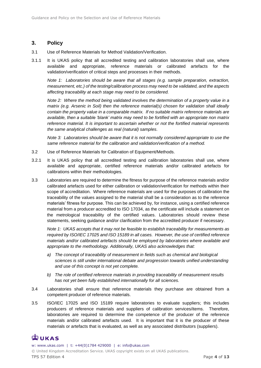#### <span id="page-3-0"></span>**3. Policy**

- 3.1 Use of Reference Materials for Method Validation/Verification.
- 3.1.1 It is UKAS policy that all accredited testing and calibration laboratories shall use, where available and appropriate, reference materials or calibrated artefacts for the validation/verification of critical steps and processes in their methods.

*Note 1: Laboratories should be aware that all stages (e.g. sample preparation, extraction, measurement, etc.) of the testing/calibration process may need to be validated, and the aspects affecting traceability at each stage may need to be considered.* 

*Note 2: Where the method being validated involves the determination of a property value in a matrix (e.g. Arsenic in Soil) then the reference material(s) chosen for validation shall ideally contain the property value in a comparable matrix. If no suitable matrix reference materials are available, then a suitable 'blank' matrix may need to be fortified with an appropriate non matrix reference material. It is important to ascertain whether or not the fortified material represents the same analytical challenges as real (natural) samples.*

*Note 3: Laboratories should be aware that it is not normally considered appropriate to use the same reference material for the calibration and validation/verification of a method.*

- 3.2 Use of Reference Materials for Calibration of Equipment/Methods.
- 3.2.1 It is UKAS policy that all accredited testing and calibration laboratories shall use, where available and appropriate, certified reference materials and/or calibrated artefacts for calibrations within their methodologies.
- 3.3 Laboratories are required to determine the fitness for purpose of the reference materials and/or calibrated artefacts used for either calibration or validation/verification for methods within their scope of accreditation. Where reference materials are used for the purposes of calibration the traceability of the values assigned to the material shall be a consideration as to the reference materials' fitness for purpose. This can be achieved by, for instance, using a certified reference material from a producer accredited to ISO 17034, as the certificate will include a statement on the metrological traceability of the certified values. Laboratories should review these statements, seeking guidance and/or clarification from the accredited producer if necessary.

*Note 1: UKAS accepts that it may not be feasible to establish traceability for measurements as required by ISO/IEC 17025 and ISO 15189 in all cases. However, the use of certified reference materials and/or calibrated artefacts should be employed by laboratories where available and appropriate to the methodology. Additionally, UKAS also acknowledges that:*

- *a) The concept of traceability of measurement in fields such as chemical and biological sciences is still under international debate and progression towards unified understanding and use of this concept is not yet complete.*
- *b) The role of certified reference materials in providing traceability of measurement results has not yet been fully established internationally for all sciences.*
- 3.4 Laboratories shall ensure that reference materials they purchase are obtained from a competent producer of reference materials.
- 3.5 ISO/IEC 17025 and ISO 15189 require laboratories to evaluate suppliers; this includes producers of reference materials and suppliers of calibration services/items. Therefore, laboratories are required to determine the competence of the producer of the reference materials and/or calibrated artefacts used. It is important that it is the producer of these materials or artefacts that is evaluated, as well as any associated distributors (suppliers).

# **EUKAS**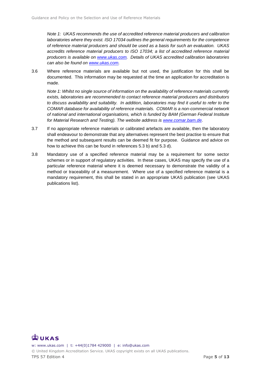*Note 1: UKAS recommends the use of accredited reference material producers and calibration laboratories where they exist. ISO 17034 outlines the general requirements for the competence of reference material producers and should be used as a basis for such an evaluation. UKAS accredits reference material producers to ISO 17034; a list of accredited reference material producers is available on [www.ukas.com.](http://www.ukas.com/) Details of UKAS accredited calibration laboratories can also be found on [www.ukas.com.](https://www.ukas.com/)* 

3.6 Where reference materials are available but not used, the justification for this shall be documented. This information may be requested at the time an application for accreditation is made.

*Note 1: Whilst no single source of information on the availability of reference materials currently exists, laboratories are recommended to contact reference material producers and distributors to discuss availability and suitability. In addition, laboratories may find it useful to refer to the COMAR database for availability of reference materials. COMAR is a non-commercial network of national and international organisations, which is funded by BAM (German Federal Institute for Material Research and Testing). The website address is [www.comar.bam.de.](http://www.comar.bam.de/)*

- 3.7 If no appropriate reference materials or calibrated artefacts are available, then the laboratory shall endeavour to demonstrate that any alternatives represent the best practise to ensure that the method and subsequent results can be deemed fit for purpose. Guidance and advice on how to achieve this can be found in references 5.3 b) and 5.3 d).
- 3.8 Mandatory use of a specified reference material may be a requirement for some sector schemes or in support of regulatory activities. In these cases, UKAS may specify the use of a particular reference material where it is deemed necessary to demonstrate the validity of a method or traceability of a measurement. Where use of a specified reference material is a mandatory requirement, this shall be stated in an appropriate UKAS publication (see UKAS publications list).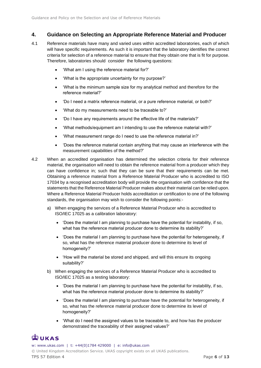#### <span id="page-5-0"></span>**4. Guidance on Selecting an Appropriate Reference Material and Producer**

- 4.1 Reference materials have many and varied uses within accredited laboratories, each of which will have specific requirements. As such it is important that the laboratory identifies the correct criteria for selection of a reference material to ensure that they obtain one that is fit for purpose. Therefore, laboratories should consider the following questions:
	- 'What am I using the reference material for?'
	- 'What is the appropriate uncertainty for my purpose?'
	- 'What is the minimum sample size for my analytical method and therefore for the reference material?'
	- 'Do I need a matrix reference material, or a pure reference material, or both?'
	- 'What do my measurements need to be traceable to?'
	- 'Do I have any requirements around the effective life of the materials?'
	- 'What methods/equipment am I intending to use the reference material with?'
	- 'What measurement range do I need to use the reference material in?'
	- 'Does the reference material contain anything that may cause an interference with the measurement capabilities of the method?'
- 4.2 When an accredited organisation has determined the selection criteria for their reference material, the organisation will need to obtain the reference material from a producer which they can have confidence in; such that they can be sure that their requirements can be met. Obtaining a reference material from a Reference Material Producer who is accredited to ISO 17034 by a recognised accreditation body will provide the organisation with confidence that the statements that the Reference Material Producer makes about their material can be relied upon. Where a Reference Material Producer holds accreditation or certification to one of the following standards, the organisation may wish to consider the following points:
	- a) When engaging the services of a Reference Material Producer who is accredited to ISO/IEC 17025 as a calibration laboratory:
		- 'Does the material I am planning to purchase have the potential for instability, if so, what has the reference material producer done to determine its stability?'
		- 'Does the material I am planning to purchase have the potential for heterogeneity, if so, what has the reference material producer done to determine its level of homogeneity?'
		- 'How will the material be stored and shipped, and will this ensure its ongoing suitability?'
	- b) When engaging the services of a Reference Material Producer who is accredited to ISO/IEC 17025 as a testing laboratory:
		- 'Does the material I am planning to purchase have the potential for instability, if so, what has the reference material producer done to determine its stability?'
		- 'Does the material I am planning to purchase have the potential for heterogeneity, if so, what has the reference material producer done to determine its level of homogeneity?'
		- 'What do I need the assigned values to be traceable to, and how has the producer demonstrated the traceability of their assigned values?'

# $\mathbb{Z}$ UKAS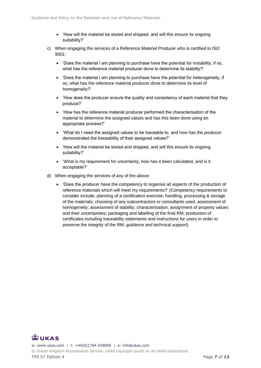- 'How will the material be stored and shipped, and will this ensure its ongoing suitability?'
- c) When engaging the services of a Reference Material Producer who is certified to ISO 9001:
	- 'Does the material I am planning to purchase have the potential for instability, if so, what has the reference material producer done to determine its stability?'
	- 'Does the material I am planning to purchase have the potential for heterogeneity, if so, what has the reference material producer done to determine its level of homogeneity?'
	- 'How does the producer ensure the quality and consistency of each material that they produce?'
	- 'How has the reference material producer performed the characterisation of the material to determine the assigned values and has this been done using an appropriate process?'
	- 'What do I need the assigned values to be traceable to, and how has the producer demonstrated the traceability of their assigned values?'
	- 'How will the material be stored and shipped, and will this ensure its ongoing suitability?'
	- 'What is my requirement for uncertainty, how has it been calculated, and is it acceptable?'
- d) When engaging the services of any of the above:
	- 'Does the producer have the competency to organise all aspects of the production of reference materials which will meet my requirements?' (Competency requirements to consider include; planning of a certification exercise; handling, processing & storage of the materials; choosing of any subcontractors or consultants used; assessment of homogeneity; assessment of stability; characterisation; assignment of property values and their uncertainties; packaging and labelling of the final RM; production of certificates including traceability statements and instructions for users in order to preserve the integrity of the RM; guidance and technical support)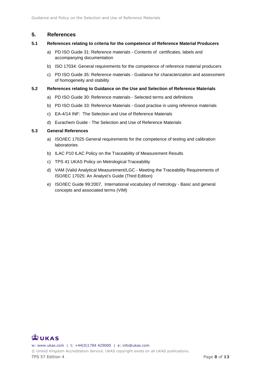#### <span id="page-7-0"></span>**5. References**

#### **5.1 References relating to criteria for the competence of Reference Material Producers**

- a) PD ISO Guide 31: Reference materials Contents of certificates, labels and accompanying documentation
- b) ISO 17034: General requirements for the competence of reference material producers
- c) PD ISO Guide 35: Reference materials Guidance for characterization and assessment of homogeneity and stability

#### **5.2 References relating to Guidance on the Use and Selection of Reference Materials**

- a) PD ISO Guide 30: Reference materials Selected terms and definitions
- b) PD ISO Guide 33: Reference Materials Good practise in using reference materials
- c) EA-4/14 INF: The Selection and Use of Reference Materials
- d) Eurachem Guide The Selection and Use of Reference Materials

#### **5.3 General References**

- a) ISO/IEC 17025 General requirements for the competence of testing and calibration laboratories
- b) ILAC P10 ILAC Policy on the Traceability of Measurement Results
- c) TPS 41 UKAS Policy on Metrological Traceability
- d) VAM (Valid Analytical Measurement/LGC Meeting the Traceability Requirements of ISO/IEC 17025: An Analyst's Guide (Third Edition)
- e) ISO/IEC Guide 99:2007, International vocabulary of metrology Basic and general concepts and associated terms (VIM)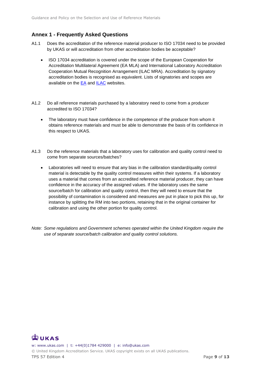### <span id="page-8-0"></span>**Annex 1 - Frequently Asked Questions**

- A1.1 Does the accreditation of the reference material producer to ISO 17034 need to be provided by UKAS or will accreditation from other accreditation bodies be acceptable?
	- ISO 17034 accreditation is covered under the scope of the European Cooperation for Accreditation Multilateral Agreement (EA MLA) and International Laboratory Accreditation Cooperation Mutual Recognition Arrangement (ILAC MRA). Accreditation by signatory accreditation bodies is recognised as equivalent. Lists of signatories and scopes are available on the  $E\text{A}$  and  $ILAC$  websites.
- A1.2 Do all reference materials purchased by a laboratory need to come from a producer accredited to ISO 17034?
	- The laboratory must have confidence in the competence of the producer from whom it obtains reference materials and must be able to demonstrate the basis of its confidence in this respect to UKAS.
- A1.3 Do the reference materials that a laboratory uses for calibration and quality control need to come from separate sources/batches?
	- Laboratories will need to ensure that any bias in the calibration standard/quality control material is detectable by the quality control measures within their systems. If a laboratory uses a material that comes from an accredited reference material producer, they can have confidence in the accuracy of the assigned values. If the laboratory uses the same source/batch for calibration and quality control, then they will need to ensure that the possibility of contamination is considered and measures are put in place to pick this up, for instance by splitting the RM into two portions, retaining that in the original container for calibration and using the other portion for quality control.
- *Note: Some regulations and Government schemes operated within the United Kingdom require the use of separate source/batch calibration and quality control solutions.*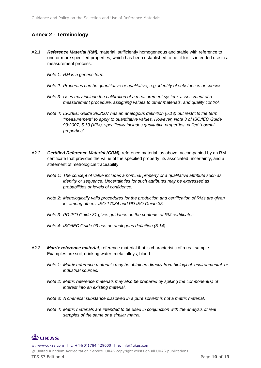### <span id="page-9-0"></span>**Annex 2 - Terminology**

- A2.1 *Reference Material (RM),* material, sufficiently homogeneous and stable with reference to one or more specified properties, which has been established to be fit for its intended use in a measurement process.
	- *Note 1: RM is a generic term.*
	- *Note 2: Properties can be quantitative or qualitative, e.g. identity of substances or species.*
	- *Note 3: Uses may include the calibration of a measurement system, assessment of a measurement procedure, assigning values to other materials, and quality control.*
	- *Note 4: ISO/IEC Guide 99:2007 has an analogous definition (5.13) but restricts the term "measurement" to apply to quantitative values. However, Note 3 of ISO/IEC Guide 99:2007, 5.13 (VIM), specifically includes qualitative properties, called "normal properties".*
- A2.2 *Certified Reference Material (CRM),* reference material, as above, accompanied by an RM certificate that provides the value of the specified property, its associated uncertainty, and a statement of metrological traceability.
	- *Note 1: The concept of value includes a nominal property or a qualitative attribute such as identity or sequence. Uncertainties for such attributes may be expressed as probabilities or levels of confidence.*
	- *Note 2: Metrologically valid procedures for the production and certification of RMs are given in, among others, ISO 17034 and PD ISO Guide 35.*
	- *Note 3: PD ISO Guide 31 gives guidance on the contents of RM certificates.*
	- *Note 4: ISO/IEC Guide 99 has an analogous definition (5.14).*
- A2.3 *Matrix reference material,* reference material that is characteristic of a real sample. Examples are soil, drinking water, metal alloys, blood.
	- *Note 1: Matrix reference materials may be obtained directly from biological, environmental, or industrial sources.*
	- *Note 2: Matrix reference materials may also be prepared by spiking the component(s) of interest into an existing material.*
	- *Note 3: A chemical substance dissolved in a pure solvent is not a matrix material.*
	- *Note 4: Matrix materials are intended to be used in conjunction with the analysis of real samples of the same or a similar matrix.*

# $\mathbb{Z}$ UKAS

w: www.ukas.com | t: +44(0)1784 429000 | e: info@ukas.com © United Kingdom Accreditation Service. UKAS copyright exists on all UKAS publications. TPS 57 Edition 4 Page 10 of 13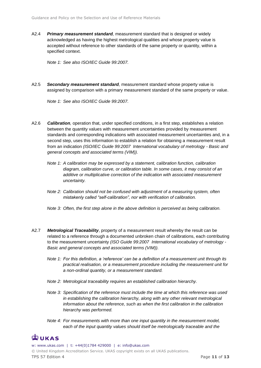A2.4 *Primary measurement standard,* measurement standard that is designed or widely acknowledged as having the highest metrological qualities and whose property value is accepted without reference to other standards of the same property or quantity, within a specified context.

*Note 1: See also ISO/IEC Guide 99:2007.*

A2.5 *Secondary measurement standard,* measurement standard whose property value is assigned by comparison with a primary measurement standard of the same property or value.

*Note 1: See also ISO/IEC Guide 99:2007.*

- A2.6 *Calibration,* operation that, under specified conditions, in a first step, establishes a relation between the quantity values with measurement uncertainties provided by measurement standards and corresponding indications with associated measurement uncertainties and, in a second step, uses this information to establish a relation for obtaining a measurement result from an indication *(ISO/IEC Guide 99:2007 International vocabulary of metrology - Basic and general concepts and associated terms (VIM)).*
	- *Note 1: A calibration may be expressed by a statement, calibration function, calibration diagram, calibration curve, or calibration table. In some cases, it may consist of an additive or multiplicative correction of the indication with associated measurement uncertainty.*
	- *Note 2: Calibration should not be confused with adjustment of a measuring system, often mistakenly called "self-calibration", nor with verification of calibration.*
	- *Note 3: Often, the first step alone in the above definition is perceived as being calibration.*
- A2.7 *Metrological Traceability*, property of a measurement result whereby the result can be related to a reference through a documented unbroken chain of calibrations, each contributing to the measurement uncertainty *(ISO Guide 99:2007 International vocabulary of metrology - Basic and general concepts and associated terms (VIM)).*
	- *Note 1: For this definition, a 'reference' can be a definition of a measurement unit through its practical realisation, or a measurement procedure including the measurement unit for a non-ordinal quantity, or a measurement standard.*
	- *Note 2: Metrological traceability requires an established calibration hierarchy.*
	- *Note 3: Specification of the reference must include the time at which this reference was used in establishing the calibration hierarchy, along with any other relevant metrological information about the reference, such as when the first calibration in the calibration hierarchy was performed.*
	- *Note 4: For measurements with more than one input quantity in the measurement model, each of the input quantity values should itself be metrologically traceable and the*

# **EUKAS**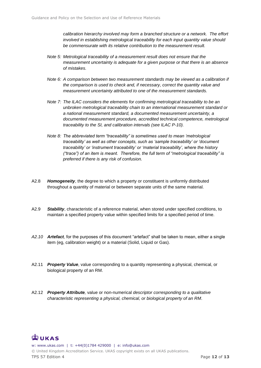*calibration hierarchy involved may form a branched structure or a network. The effort involved in establishing metrological traceability for each input quantity value should be commensurate with its relative contribution to the measurement result.*

- *Note 5: Metrological traceability of a measurement result does not ensure that the measurement uncertainty is adequate for a given purpose or that there is an absence of mistakes.*
- *Note 6: A comparison between two measurement standards may be viewed as a calibration if the comparison is used to check and, if necessary, correct the quantity value and measurement uncertainty attributed to one of the measurement standards.*
- *Note 7: The ILAC considers the elements for confirming metrological traceability to be an unbroken metrological traceability chain to an international measurement standard or a national measurement standard, a documented measurement uncertainty, a documented measurement procedure, accredited technical competence, metrological traceability to the SI, and calibration intervals (see ILAC P-10).*
- *Note 8: The abbreviated term "traceability" is sometimes used to mean 'metrological traceability' as well as other concepts, such as 'sample traceability' or 'document traceability' or 'instrument traceability' or 'material traceability', where the history ("trace") of an item is meant. Therefore, the full term of "metrological traceability" is preferred if there is any risk of confusion.*
- A2.8 *Homogeneity*, the degree to which a property or constituent is uniformly distributed throughout a quantity of material or between separate units of the same material.
- A2.9 *Stability*, characteristic of a reference material, when stored under specified conditions, to maintain a specified property value within specified limits for a specified period of time.
- *A2.10 Artefact,* for the purposes of this document "artefact" shall be taken to mean, either a single item (eg, calibration weight) or a material (Solid, Liquid or Gas).
- A2.11 *Property Value*, value corresponding to a quantity representing a physical, chemical, or biological property of an RM.
- A2.12 *Property Attribute,* value or non-numerical *descriptor corresponding to a qualitative characteristic representing a physical, chemical, or biological property of an RM.*

#### $\mathbb{Z}$ UKAS w: www.ukas.com | t: +44(0)1784 429000 | e: info@ukas.com © United Kingdom Accreditation Service. UKAS copyright exists on all UKAS publications. TPS 57 Edition 4 **Page 12** of **13**